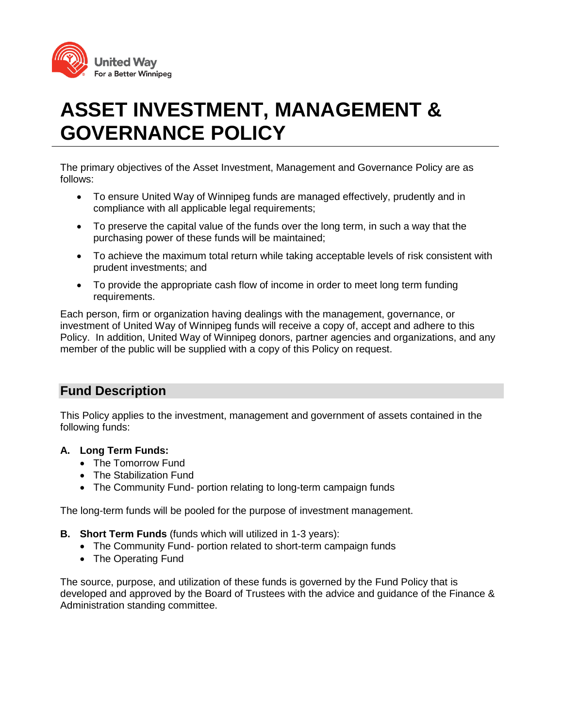

# **ASSET INVESTMENT, MANAGEMENT & GOVERNANCE POLICY**

The primary objectives of the Asset Investment, Management and Governance Policy are as follows:

- To ensure United Way of Winnipeg funds are managed effectively, prudently and in compliance with all applicable legal requirements;
- To preserve the capital value of the funds over the long term, in such a way that the purchasing power of these funds will be maintained;
- To achieve the maximum total return while taking acceptable levels of risk consistent with prudent investments; and
- To provide the appropriate cash flow of income in order to meet long term funding requirements.

Each person, firm or organization having dealings with the management, governance, or investment of United Way of Winnipeg funds will receive a copy of, accept and adhere to this Policy. In addition, United Way of Winnipeg donors, partner agencies and organizations, and any member of the public will be supplied with a copy of this Policy on request.

# **Fund Description**

This Policy applies to the investment, management and government of assets contained in the following funds:

# **A. Long Term Funds:**

- The Tomorrow Fund
- The Stabilization Fund
- The Community Fund- portion relating to long-term campaign funds

The long-term funds will be pooled for the purpose of investment management.

- **B. Short Term Funds** (funds which will utilized in 1-3 years):
	- The Community Fund- portion related to short-term campaign funds
	- The Operating Fund

The source, purpose, and utilization of these funds is governed by the Fund Policy that is developed and approved by the Board of Trustees with the advice and guidance of the Finance & Administration standing committee.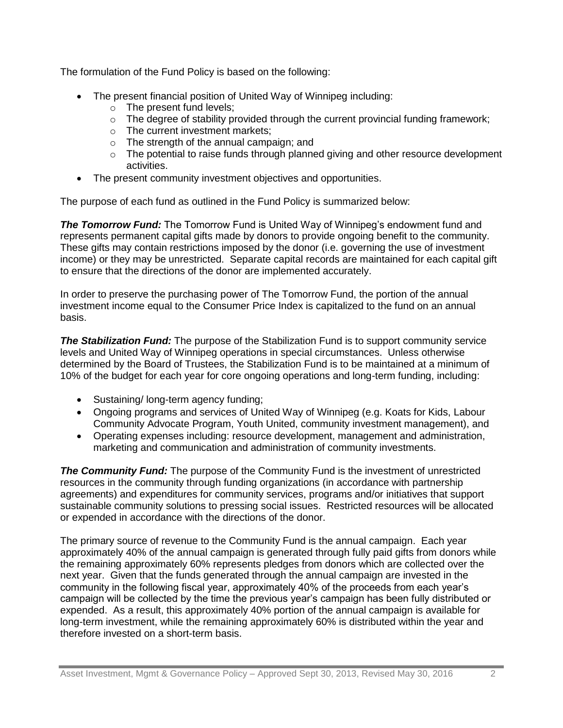The formulation of the Fund Policy is based on the following:

- The present financial position of United Way of Winnipeg including:
	- o The present fund levels;
	- $\circ$  The degree of stability provided through the current provincial funding framework;
	- o The current investment markets;
	- o The strength of the annual campaign; and
	- o The potential to raise funds through planned giving and other resource development activities.
- The present community investment objectives and opportunities.

The purpose of each fund as outlined in the Fund Policy is summarized below:

*The Tomorrow Fund:* The Tomorrow Fund is United Way of Winnipeg's endowment fund and represents permanent capital gifts made by donors to provide ongoing benefit to the community. These gifts may contain restrictions imposed by the donor (i.e. governing the use of investment income) or they may be unrestricted. Separate capital records are maintained for each capital gift to ensure that the directions of the donor are implemented accurately.

In order to preserve the purchasing power of The Tomorrow Fund, the portion of the annual investment income equal to the Consumer Price Index is capitalized to the fund on an annual basis.

**The Stabilization Fund:** The purpose of the Stabilization Fund is to support community service levels and United Way of Winnipeg operations in special circumstances. Unless otherwise determined by the Board of Trustees, the Stabilization Fund is to be maintained at a minimum of 10% of the budget for each year for core ongoing operations and long-term funding, including:

- Sustaining/ long-term agency funding;
- Ongoing programs and services of United Way of Winnipeg (e.g. Koats for Kids, Labour Community Advocate Program, Youth United, community investment management), and
- Operating expenses including: resource development, management and administration, marketing and communication and administration of community investments.

**The Community Fund:** The purpose of the Community Fund is the investment of unrestricted resources in the community through funding organizations (in accordance with partnership agreements) and expenditures for community services, programs and/or initiatives that support sustainable community solutions to pressing social issues. Restricted resources will be allocated or expended in accordance with the directions of the donor.

The primary source of revenue to the Community Fund is the annual campaign. Each year approximately 40% of the annual campaign is generated through fully paid gifts from donors while the remaining approximately 60% represents pledges from donors which are collected over the next year. Given that the funds generated through the annual campaign are invested in the community in the following fiscal year, approximately 40% of the proceeds from each year's campaign will be collected by the time the previous year's campaign has been fully distributed or expended. As a result, this approximately 40% portion of the annual campaign is available for long-term investment, while the remaining approximately 60% is distributed within the year and therefore invested on a short-term basis.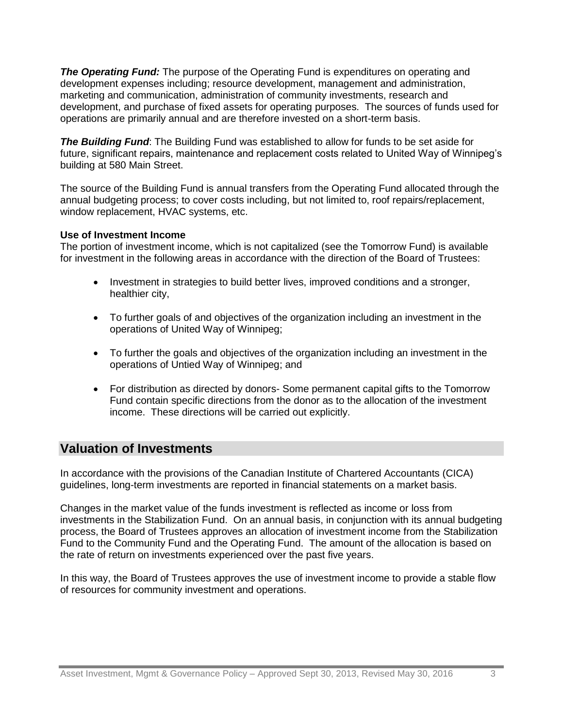*The Operating Fund:* The purpose of the Operating Fund is expenditures on operating and development expenses including; resource development, management and administration, marketing and communication, administration of community investments, research and development, and purchase of fixed assets for operating purposes. The sources of funds used for operations are primarily annual and are therefore invested on a short-term basis.

*The Building Fund*: The Building Fund was established to allow for funds to be set aside for future, significant repairs, maintenance and replacement costs related to United Way of Winnipeg's building at 580 Main Street.

The source of the Building Fund is annual transfers from the Operating Fund allocated through the annual budgeting process; to cover costs including, but not limited to, roof repairs/replacement, window replacement, HVAC systems, etc.

#### **Use of Investment Income**

The portion of investment income, which is not capitalized (see the Tomorrow Fund) is available for investment in the following areas in accordance with the direction of the Board of Trustees:

- Investment in strategies to build better lives, improved conditions and a stronger, healthier city,
- To further goals of and objectives of the organization including an investment in the operations of United Way of Winnipeg;
- To further the goals and objectives of the organization including an investment in the operations of Untied Way of Winnipeg; and
- For distribution as directed by donors- Some permanent capital gifts to the Tomorrow Fund contain specific directions from the donor as to the allocation of the investment income. These directions will be carried out explicitly.

# **Valuation of Investments**

In accordance with the provisions of the Canadian Institute of Chartered Accountants (CICA) guidelines, long-term investments are reported in financial statements on a market basis.

Changes in the market value of the funds investment is reflected as income or loss from investments in the Stabilization Fund. On an annual basis, in conjunction with its annual budgeting process, the Board of Trustees approves an allocation of investment income from the Stabilization Fund to the Community Fund and the Operating Fund. The amount of the allocation is based on the rate of return on investments experienced over the past five years.

In this way, the Board of Trustees approves the use of investment income to provide a stable flow of resources for community investment and operations.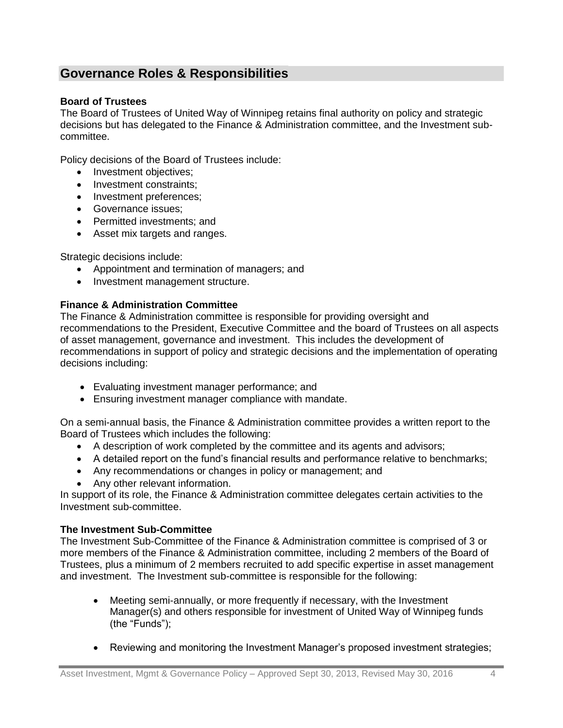# **Governance Roles & Responsibilities**

# **Board of Trustees**

The Board of Trustees of United Way of Winnipeg retains final authority on policy and strategic decisions but has delegated to the Finance & Administration committee, and the Investment subcommittee.

Policy decisions of the Board of Trustees include:

- Investment objectives;
- Investment constraints;
- Investment preferences;
- Governance issues:
- Permitted investments: and
- Asset mix targets and ranges.

Strategic decisions include:

- Appointment and termination of managers; and
- Investment management structure.

#### **Finance & Administration Committee**

The Finance & Administration committee is responsible for providing oversight and recommendations to the President, Executive Committee and the board of Trustees on all aspects of asset management, governance and investment. This includes the development of recommendations in support of policy and strategic decisions and the implementation of operating decisions including:

- Evaluating investment manager performance; and
- Ensuring investment manager compliance with mandate.

On a semi-annual basis, the Finance & Administration committee provides a written report to the Board of Trustees which includes the following:

- A description of work completed by the committee and its agents and advisors;
- A detailed report on the fund's financial results and performance relative to benchmarks;
- Any recommendations or changes in policy or management; and
- Any other relevant information.

In support of its role, the Finance & Administration committee delegates certain activities to the Investment sub-committee.

#### **The Investment Sub-Committee**

The Investment Sub-Committee of the Finance & Administration committee is comprised of 3 or more members of the Finance & Administration committee, including 2 members of the Board of Trustees, plus a minimum of 2 members recruited to add specific expertise in asset management and investment. The Investment sub-committee is responsible for the following:

- Meeting semi-annually, or more frequently if necessary, with the Investment Manager(s) and others responsible for investment of United Way of Winnipeg funds (the "Funds");
- Reviewing and monitoring the Investment Manager's proposed investment strategies;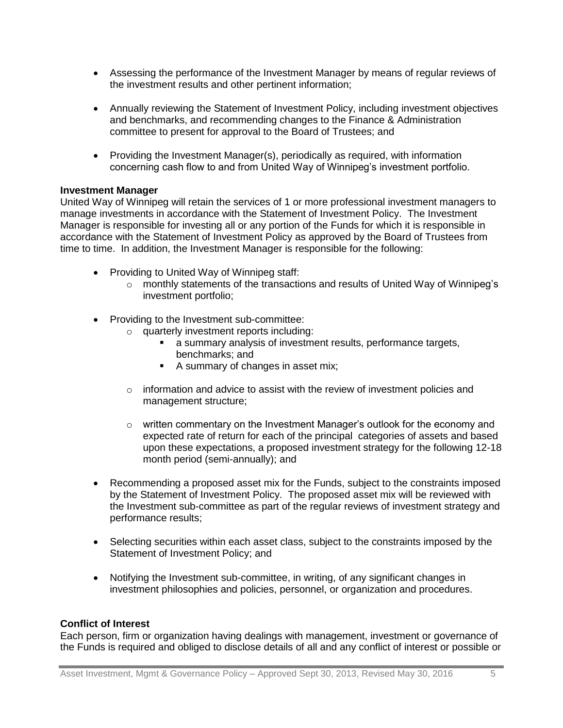- Assessing the performance of the Investment Manager by means of regular reviews of the investment results and other pertinent information;
- Annually reviewing the Statement of Investment Policy, including investment objectives and benchmarks, and recommending changes to the Finance & Administration committee to present for approval to the Board of Trustees; and
- Providing the Investment Manager(s), periodically as required, with information concerning cash flow to and from United Way of Winnipeg's investment portfolio.

#### **Investment Manager**

United Way of Winnipeg will retain the services of 1 or more professional investment managers to manage investments in accordance with the Statement of Investment Policy. The Investment Manager is responsible for investing all or any portion of the Funds for which it is responsible in accordance with the Statement of Investment Policy as approved by the Board of Trustees from time to time. In addition, the Investment Manager is responsible for the following:

- Providing to United Way of Winnipeg staff:
	- $\circ$  monthly statements of the transactions and results of United Way of Winnipeg's investment portfolio;
- Providing to the Investment sub-committee:
	- o quarterly investment reports including:
		- a summary analysis of investment results, performance targets, benchmarks; and
		- A summary of changes in asset mix;
	- $\circ$  information and advice to assist with the review of investment policies and management structure;
	- $\circ$  written commentary on the Investment Manager's outlook for the economy and expected rate of return for each of the principal categories of assets and based upon these expectations, a proposed investment strategy for the following 12-18 month period (semi-annually); and
- Recommending a proposed asset mix for the Funds, subject to the constraints imposed by the Statement of Investment Policy. The proposed asset mix will be reviewed with the Investment sub-committee as part of the regular reviews of investment strategy and performance results;
- Selecting securities within each asset class, subject to the constraints imposed by the Statement of Investment Policy; and
- Notifying the Investment sub-committee, in writing, of any significant changes in investment philosophies and policies, personnel, or organization and procedures.

#### **Conflict of Interest**

Each person, firm or organization having dealings with management, investment or governance of the Funds is required and obliged to disclose details of all and any conflict of interest or possible or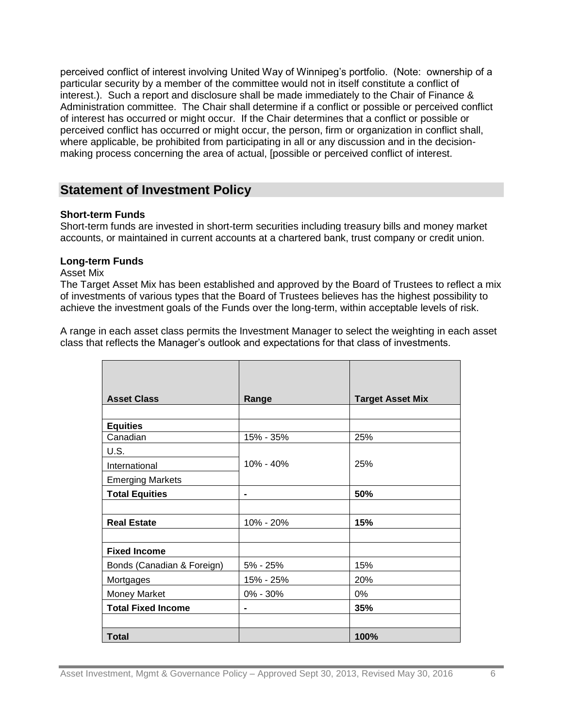perceived conflict of interest involving United Way of Winnipeg's portfolio. (Note: ownership of a particular security by a member of the committee would not in itself constitute a conflict of interest.). Such a report and disclosure shall be made immediately to the Chair of Finance & Administration committee. The Chair shall determine if a conflict or possible or perceived conflict of interest has occurred or might occur. If the Chair determines that a conflict or possible or perceived conflict has occurred or might occur, the person, firm or organization in conflict shall, where applicable, be prohibited from participating in all or any discussion and in the decisionmaking process concerning the area of actual, [possible or perceived conflict of interest.

# **Statement of Investment Policy**

#### **Short-term Funds**

Short-term funds are invested in short-term securities including treasury bills and money market accounts, or maintained in current accounts at a chartered bank, trust company or credit union.

#### **Long-term Funds**

#### Asset Mix

The Target Asset Mix has been established and approved by the Board of Trustees to reflect a mix of investments of various types that the Board of Trustees believes has the highest possibility to achieve the investment goals of the Funds over the long-term, within acceptable levels of risk.

A range in each asset class permits the Investment Manager to select the weighting in each asset class that reflects the Manager's outlook and expectations for that class of investments.

| <b>Asset Class</b>         | Range          | <b>Target Asset Mix</b> |
|----------------------------|----------------|-------------------------|
|                            |                |                         |
| <b>Equities</b>            |                |                         |
| Canadian                   | 15% - 35%      | 25%                     |
| U.S.                       |                |                         |
| International              | 10% - 40%      | 25%                     |
| <b>Emerging Markets</b>    |                |                         |
| <b>Total Equities</b>      | $\blacksquare$ | 50%                     |
|                            |                |                         |
| <b>Real Estate</b>         | 10% - 20%      | 15%                     |
|                            |                |                         |
| <b>Fixed Income</b>        |                |                         |
| Bonds (Canadian & Foreign) | 5% - 25%       | 15%                     |
| Mortgages                  | 15% - 25%      | 20%                     |
| Money Market               | 0% - 30%       | 0%                      |
| <b>Total Fixed Income</b>  | -              | 35%                     |
|                            |                |                         |
| Total                      |                | 100%                    |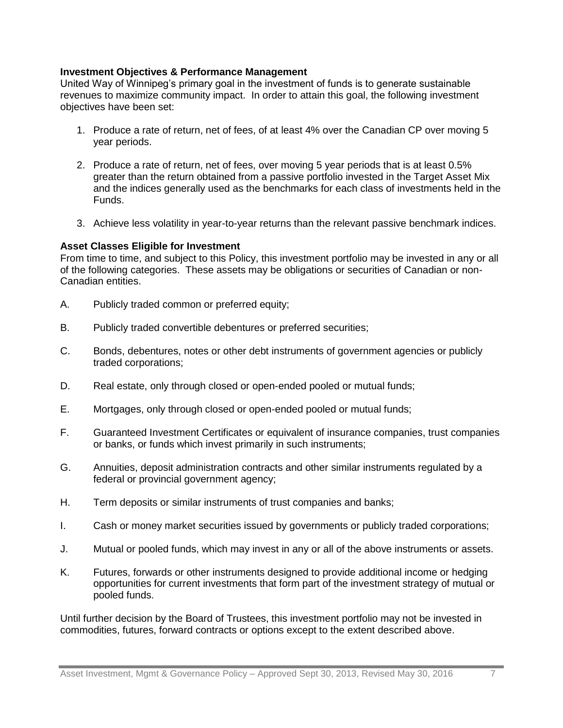#### **Investment Objectives & Performance Management**

United Way of Winnipeg's primary goal in the investment of funds is to generate sustainable revenues to maximize community impact. In order to attain this goal, the following investment objectives have been set:

- 1. Produce a rate of return, net of fees, of at least 4% over the Canadian CP over moving 5 year periods.
- 2. Produce a rate of return, net of fees, over moving 5 year periods that is at least 0.5% greater than the return obtained from a passive portfolio invested in the Target Asset Mix and the indices generally used as the benchmarks for each class of investments held in the Funds.
- 3. Achieve less volatility in year-to-year returns than the relevant passive benchmark indices.

#### **Asset Classes Eligible for Investment**

From time to time, and subject to this Policy, this investment portfolio may be invested in any or all of the following categories. These assets may be obligations or securities of Canadian or non-Canadian entities.

- A. Publicly traded common or preferred equity;
- B. Publicly traded convertible debentures or preferred securities;
- C. Bonds, debentures, notes or other debt instruments of government agencies or publicly traded corporations;
- D. Real estate, only through closed or open-ended pooled or mutual funds;
- E. Mortgages, only through closed or open-ended pooled or mutual funds;
- F. Guaranteed Investment Certificates or equivalent of insurance companies, trust companies or banks, or funds which invest primarily in such instruments;
- G. Annuities, deposit administration contracts and other similar instruments regulated by a federal or provincial government agency;
- H. Term deposits or similar instruments of trust companies and banks;
- I. Cash or money market securities issued by governments or publicly traded corporations;
- J. Mutual or pooled funds, which may invest in any or all of the above instruments or assets.
- K. Futures, forwards or other instruments designed to provide additional income or hedging opportunities for current investments that form part of the investment strategy of mutual or pooled funds.

Until further decision by the Board of Trustees, this investment portfolio may not be invested in commodities, futures, forward contracts or options except to the extent described above.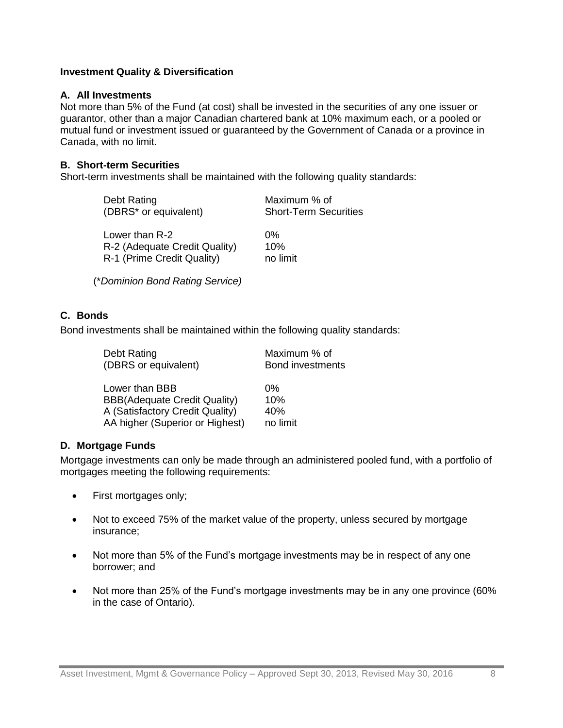#### **Investment Quality & Diversification**

#### **A. All Investments**

Not more than 5% of the Fund (at cost) shall be invested in the securities of any one issuer or guarantor, other than a major Canadian chartered bank at 10% maximum each, or a pooled or mutual fund or investment issued or guaranteed by the Government of Canada or a province in Canada, with no limit.

### **B. Short-term Securities**

Short-term investments shall be maintained with the following quality standards:

| Debt Rating                   | Maximum % of                 |
|-------------------------------|------------------------------|
| (DBRS* or equivalent)         | <b>Short-Term Securities</b> |
| Lower than R-2                | $0\%$                        |
| R-2 (Adequate Credit Quality) | 10%                          |
| R-1 (Prime Credit Quality)    | no limit                     |

(\**Dominion Bond Rating Service)*

# **C. Bonds**

Bond investments shall be maintained within the following quality standards:

| Debt Rating                         | Maximum % of            |
|-------------------------------------|-------------------------|
| (DBRS or equivalent)                | <b>Bond investments</b> |
| Lower than BBB                      | $0\%$                   |
| <b>BBB(Adequate Credit Quality)</b> | 10%                     |
| A (Satisfactory Credit Quality)     | 40%                     |
| AA higher (Superior or Highest)     | no limit                |

# **D. Mortgage Funds**

Mortgage investments can only be made through an administered pooled fund, with a portfolio of mortgages meeting the following requirements:

- First mortgages only;
- Not to exceed 75% of the market value of the property, unless secured by mortgage insurance;
- Not more than 5% of the Fund's mortgage investments may be in respect of any one borrower; and
- Not more than 25% of the Fund's mortgage investments may be in any one province (60% in the case of Ontario).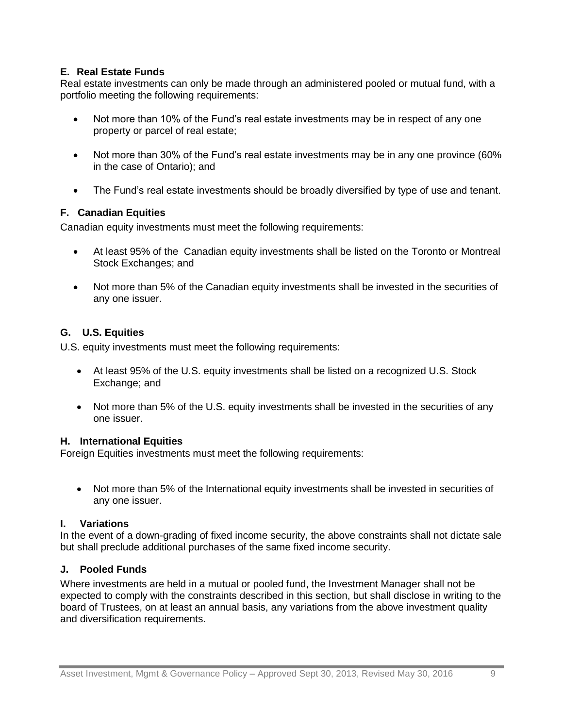# **E. Real Estate Funds**

Real estate investments can only be made through an administered pooled or mutual fund, with a portfolio meeting the following requirements:

- Not more than 10% of the Fund's real estate investments may be in respect of any one property or parcel of real estate;
- Not more than 30% of the Fund's real estate investments may be in any one province (60% in the case of Ontario); and
- The Fund's real estate investments should be broadly diversified by type of use and tenant.

# **F. Canadian Equities**

Canadian equity investments must meet the following requirements:

- At least 95% of the Canadian equity investments shall be listed on the Toronto or Montreal Stock Exchanges; and
- Not more than 5% of the Canadian equity investments shall be invested in the securities of any one issuer.

# **G. U.S. Equities**

U.S. equity investments must meet the following requirements:

- At least 95% of the U.S. equity investments shall be listed on a recognized U.S. Stock Exchange; and
- Not more than 5% of the U.S. equity investments shall be invested in the securities of any one issuer.

# **H. International Equities**

Foreign Equities investments must meet the following requirements:

 Not more than 5% of the International equity investments shall be invested in securities of any one issuer.

# **I. Variations**

In the event of a down-grading of fixed income security, the above constraints shall not dictate sale but shall preclude additional purchases of the same fixed income security.

# **J. Pooled Funds**

Where investments are held in a mutual or pooled fund, the Investment Manager shall not be expected to comply with the constraints described in this section, but shall disclose in writing to the board of Trustees, on at least an annual basis, any variations from the above investment quality and diversification requirements.